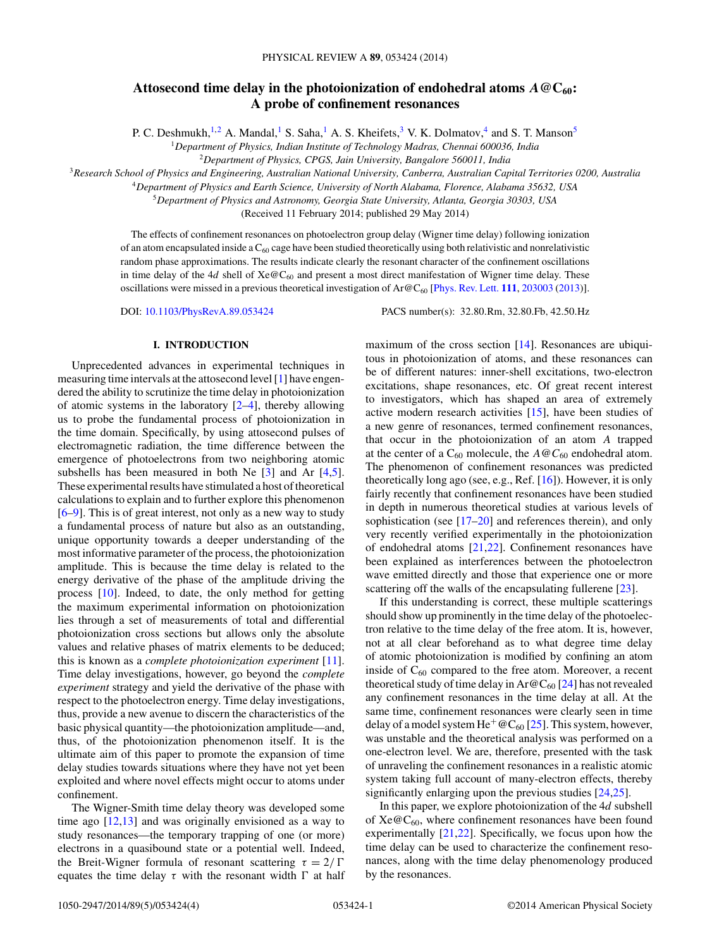# Attosecond time delay in the photoionization of endohedral atoms  $A \otimes C_{60}$ : **A probe of confinement resonances**

P. C. Deshmukh,<sup>1,2</sup> A. Mandal,<sup>1</sup> S. Saha,<sup>1</sup> A. S. Kheifets,<sup>3</sup> V. K. Dolmatov,<sup>4</sup> and S. T. Manson<sup>5</sup>

<sup>1</sup>*Department of Physics, Indian Institute of Technology Madras, Chennai 600036, India*

<sup>2</sup>*Department of Physics, CPGS, Jain University, Bangalore 560011, India*

<sup>3</sup>*Research School of Physics and Engineering, Australian National University, Canberra, Australian Capital Territories 0200, Australia*

<sup>4</sup>*Department of Physics and Earth Science, University of North Alabama, Florence, Alabama 35632, USA*

<sup>5</sup>*Department of Physics and Astronomy, Georgia State University, Atlanta, Georgia 30303, USA*

(Received 11 February 2014; published 29 May 2014)

The effects of confinement resonances on photoelectron group delay (Wigner time delay) following ionization of an atom encapsulated inside a  $C_{60}$  cage have been studied theoretically using both relativistic and nonrelativistic random phase approximations. The results indicate clearly the resonant character of the confinement oscillations in time delay of the 4*d* shell of  $Xe@C_{60}$  and present a most direct manifestation of Wigner time delay. These oscillations were missed in a previous theoretical investigation of Ar@C60 [\[Phys. Rev. Lett.](http://dx.doi.org/10.1103/PhysRevLett.111.203003) **[111](http://dx.doi.org/10.1103/PhysRevLett.111.203003)**, [203003](http://dx.doi.org/10.1103/PhysRevLett.111.203003) [\(2013\)](http://dx.doi.org/10.1103/PhysRevLett.111.203003)].

DOI: [10.1103/PhysRevA.89.053424](http://dx.doi.org/10.1103/PhysRevA.89.053424) PACS number(s): 32*.*80*.*Rm*,* 32*.*80*.*Fb*,* 42*.*50*.*Hz

## **I. INTRODUCTION**

Unprecedented advances in experimental techniques in measuring time intervals at the attosecond level [\[1\]](#page-3-0) have engendered the ability to scrutinize the time delay in photoionization of atomic systems in the laboratory  $[2-4]$ , thereby allowing us to probe the fundamental process of photoionization in the time domain. Specifically, by using attosecond pulses of electromagnetic radiation, the time difference between the emergence of photoelectrons from two neighboring atomic subshells has been measured in both Ne  $[3]$  and Ar  $[4,5]$ . These experimental results have stimulated a host of theoretical calculations to explain and to further explore this phenomenon [\[6–9\]](#page-3-0). This is of great interest, not only as a new way to study a fundamental process of nature but also as an outstanding, unique opportunity towards a deeper understanding of the most informative parameter of the process, the photoionization amplitude. This is because the time delay is related to the energy derivative of the phase of the amplitude driving the process [\[10\]](#page-3-0). Indeed, to date, the only method for getting the maximum experimental information on photoionization lies through a set of measurements of total and differential photoionization cross sections but allows only the absolute values and relative phases of matrix elements to be deduced; this is known as a *complete photoionization experiment* [\[11\]](#page-3-0). Time delay investigations, however, go beyond the *complete experiment* strategy and yield the derivative of the phase with respect to the photoelectron energy. Time delay investigations, thus, provide a new avenue to discern the characteristics of the basic physical quantity—the photoionization amplitude—and, thus, of the photoionization phenomenon itself. It is the ultimate aim of this paper to promote the expansion of time delay studies towards situations where they have not yet been exploited and where novel effects might occur to atoms under confinement.

The Wigner-Smith time delay theory was developed some time ago [\[12,13\]](#page-3-0) and was originally envisioned as a way to study resonances—the temporary trapping of one (or more) electrons in a quasibound state or a potential well. Indeed, the Breit-Wigner formula of resonant scattering  $\tau = 2/\Gamma$ equates the time delay  $\tau$  with the resonant width  $\Gamma$  at half maximum of the cross section [\[14\]](#page-3-0). Resonances are ubiquitous in photoionization of atoms, and these resonances can be of different natures: inner-shell excitations, two-electron excitations, shape resonances, etc. Of great recent interest to investigators, which has shaped an area of extremely active modern research activities [\[15\]](#page-3-0), have been studies of a new genre of resonances, termed confinement resonances, that occur in the photoionization of an atom *A* trapped at the center of a  $C_{60}$  molecule, the  $A \otimes C_{60}$  endohedral atom. The phenomenon of confinement resonances was predicted theoretically long ago (see, e.g., Ref. [\[16\]](#page-3-0)). However, it is only fairly recently that confinement resonances have been studied in depth in numerous theoretical studies at various levels of sophistication (see  $[17–20]$  and references therein), and only very recently verified experimentally in the photoionization of endohedral atoms [\[21,22\]](#page-3-0). Confinement resonances have been explained as interferences between the photoelectron wave emitted directly and those that experience one or more scattering off the walls of the encapsulating fullerene [\[23\]](#page-3-0).

If this understanding is correct, these multiple scatterings should show up prominently in the time delay of the photoelectron relative to the time delay of the free atom. It is, however, not at all clear beforehand as to what degree time delay of atomic photoionization is modified by confining an atom inside of  $C_{60}$  compared to the free atom. Moreover, a recent theoretical study of time delay in  $Ar@C_{60}$  [\[24\]](#page-3-0) has not revealed any confinement resonances in the time delay at all. At the same time, confinement resonances were clearly seen in time delay of a model system He<sup>+</sup>  $@C_{60}$  [\[25\]](#page-3-0). This system, however, was unstable and the theoretical analysis was performed on a one-electron level. We are, therefore, presented with the task of unraveling the confinement resonances in a realistic atomic system taking full account of many-electron effects, thereby significantly enlarging upon the previous studies [\[24,25\]](#page-3-0).

In this paper, we explore photoionization of the 4*d* subshell of  $Xe@C_{60}$ , where confinement resonances have been found experimentally [\[21,22\]](#page-3-0). Specifically, we focus upon how the time delay can be used to characterize the confinement resonances, along with the time delay phenomenology produced by the resonances.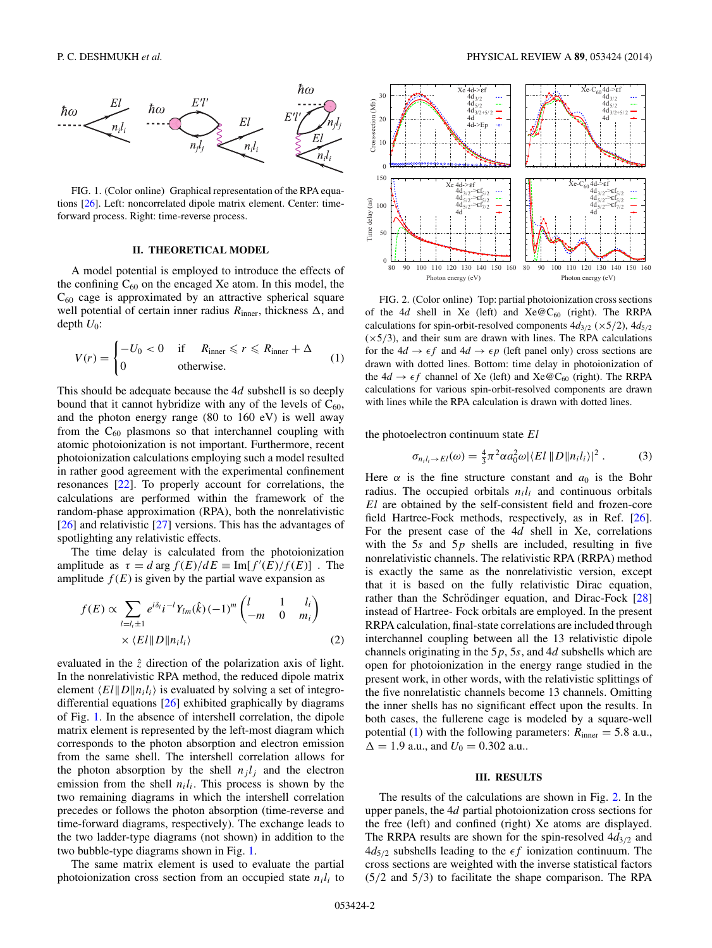<span id="page-1-0"></span>

FIG. 1. (Color online) Graphical representation of the RPA equations [\[26\]](#page-3-0). Left: noncorrelated dipole matrix element. Center: timeforward process. Right: time-reverse process.

## **II. THEORETICAL MODEL**

A model potential is employed to introduce the effects of the confining  $C_{60}$  on the encaged Xe atom. In this model, the  $C_{60}$  cage is approximated by an attractive spherical square well potential of certain inner radius  $R_{\text{inner}}$ , thickness  $\Delta$ , and depth  $U_0$ :

$$
V(r) = \begin{cases} -U_0 < 0 & \text{if } R_{\text{inner}} \le r \le R_{\text{inner}} + \Delta \\ 0 & \text{otherwise.} \end{cases} \tag{1}
$$

This should be adequate because the 4*d* subshell is so deeply bound that it cannot hybridize with any of the levels of  $C_{60}$ , and the photon energy range (80 to 160 eV) is well away from the  $C_{60}$  plasmons so that interchannel coupling with atomic photoionization is not important. Furthermore, recent photoionization calculations employing such a model resulted in rather good agreement with the experimental confinement resonances [\[22\]](#page-3-0). To properly account for correlations, the calculations are performed within the framework of the random-phase approximation (RPA), both the nonrelativistic [\[26\]](#page-3-0) and relativistic [\[27\]](#page-3-0) versions. This has the advantages of spotlighting any relativistic effects.

The time delay is calculated from the photoionization amplitude as  $\tau = d \arg f(E)/dE \equiv \text{Im}[f'(E)/f(E)]$ . The amplitude  $f(E)$  is given by the partial wave expansion as

$$
f(E) \propto \sum_{l=l_i\pm 1} e^{i\delta_l} i^{-l} Y_{lm}(\hat{k}) (-1)^m \begin{pmatrix} l & 1 & l_i \\ -m & 0 & m_i \end{pmatrix}
$$
  
 
$$
\times \langle EI \| D \| n_i l_i \rangle
$$
 (2)

evaluated in the  $\hat{z}$  direction of the polarization axis of light. In the nonrelativistic RPA method, the reduced dipole matrix element  $\langle EI||D||n_i l_i \rangle$  is evaluated by solving a set of integrodifferential equations [\[26\]](#page-3-0) exhibited graphically by diagrams of Fig. 1. In the absence of intershell correlation, the dipole matrix element is represented by the left-most diagram which corresponds to the photon absorption and electron emission from the same shell. The intershell correlation allows for the photon absorption by the shell  $n_j l_j$  and the electron emission from the shell  $n<sub>i</sub>l<sub>i</sub>$ . This process is shown by the two remaining diagrams in which the intershell correlation precedes or follows the photon absorption (time-reverse and time-forward diagrams, respectively). The exchange leads to the two ladder-type diagrams (not shown) in addition to the two bubble-type diagrams shown in Fig. 1.

The same matrix element is used to evaluate the partial photoionization cross section from an occupied state  $n_i l_i$  to



FIG. 2. (Color online) Top: partial photoionization cross sections of the 4*d* shell in Xe (left) and  $Xe@C_{60}$  (right). The RRPA calculations for spin-orbit-resolved components  $4d_{3/2}$  ( $\times$ 5/2),  $4d_{5/2}$  $(x5/3)$ , and their sum are drawn with lines. The RPA calculations for the  $4d \rightarrow \epsilon f$  and  $4d \rightarrow \epsilon p$  (left panel only) cross sections are drawn with dotted lines. Bottom: time delay in photoionization of the  $4d \rightarrow \epsilon f$  channel of Xe (left) and Xe  $\mathcal{C}_{60}$  (right). The RRPA calculations for various spin-orbit-resolved components are drawn with lines while the RPA calculation is drawn with dotted lines.

the photoelectron continuum state *El*

$$
\sigma_{n_i l_i \to El}(\omega) = \frac{4}{3} \pi^2 \alpha a_0^2 \omega |\langle El \parallel D \parallel n_i l_i \rangle|^2. \tag{3}
$$

Here  $\alpha$  is the fine structure constant and  $a_0$  is the Bohr radius. The occupied orbitals  $n_i l_i$  and continuous orbitals *El* are obtained by the self-consistent field and frozen-core field Hartree-Fock methods, respectively, as in Ref. [\[26\]](#page-3-0). For the present case of the 4*d* shell in Xe, correlations with the 5*s* and 5*p* shells are included, resulting in five nonrelativistic channels. The relativistic RPA (RRPA) method is exactly the same as the nonrelativistic version, except that it is based on the fully relativistic Dirac equation, rather than the Schrödinger equation, and Dirac-Fock  $[28]$  $[28]$ instead of Hartree- Fock orbitals are employed. In the present RRPA calculation, final-state correlations are included through interchannel coupling between all the 13 relativistic dipole channels originating in the 5*p*, 5*s*, and 4*d* subshells which are open for photoionization in the energy range studied in the present work, in other words, with the relativistic splittings of the five nonrelatistic channels become 13 channels. Omitting the inner shells has no significant effect upon the results. In both cases, the fullerene cage is modeled by a square-well potential (1) with the following parameters:  $R_{\text{inner}} = 5.8$  a.u.,  $\Delta = 1.9$  a.u., and  $U_0 = 0.302$  a.u..

#### **III. RESULTS**

The results of the calculations are shown in Fig. 2. In the upper panels, the 4*d* partial photoionization cross sections for the free (left) and confined (right) Xe atoms are displayed. The RRPA results are shown for the spin-resolved 4*d*3*/*<sup>2</sup> and  $4d_{5/2}$  subshells leading to the  $\epsilon f$  ionization continuum. The cross sections are weighted with the inverse statistical factors (5*/*2 and 5*/*3) to facilitate the shape comparison. The RPA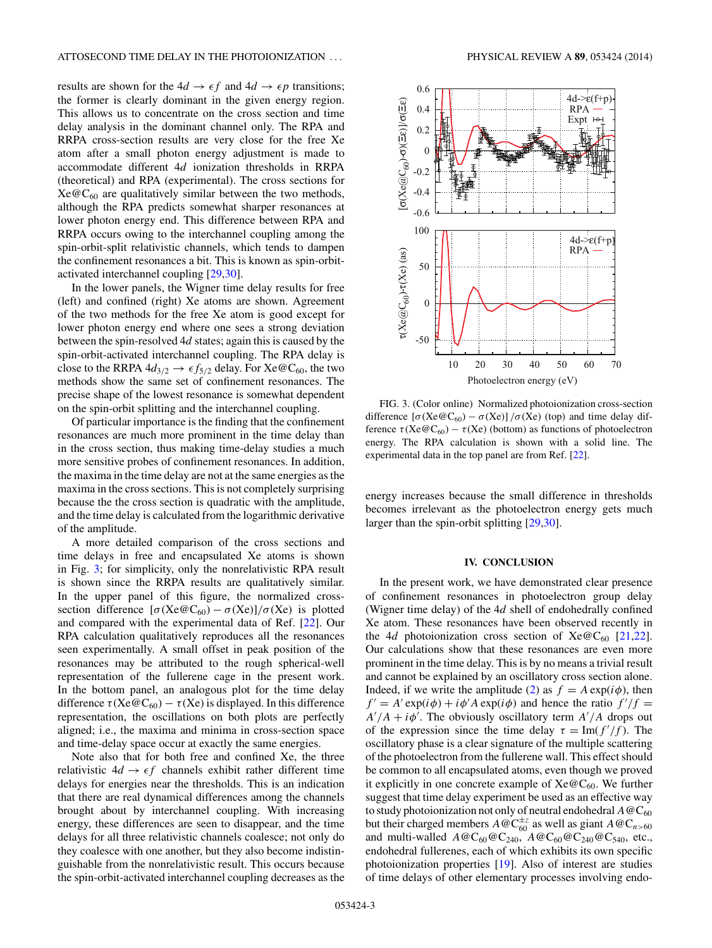results are shown for the  $4d \rightarrow \epsilon f$  and  $4d \rightarrow \epsilon p$  transitions; the former is clearly dominant in the given energy region. This allows us to concentrate on the cross section and time delay analysis in the dominant channel only. The RPA and RRPA cross-section results are very close for the free Xe atom after a small photon energy adjustment is made to accommodate different 4*d* ionization thresholds in RRPA (theoretical) and RPA (experimental). The cross sections for  $Xe@C_{60}$  are qualitatively similar between the two methods, although the RPA predicts somewhat sharper resonances at lower photon energy end. This difference between RPA and RRPA occurs owing to the interchannel coupling among the spin-orbit-split relativistic channels, which tends to dampen the confinement resonances a bit. This is known as spin-orbitactivated interchannel coupling [\[29,30\]](#page-3-0).

In the lower panels, the Wigner time delay results for free (left) and confined (right) Xe atoms are shown. Agreement of the two methods for the free Xe atom is good except for lower photon energy end where one sees a strong deviation between the spin-resolved 4*d* states; again this is caused by the spin-orbit-activated interchannel coupling. The RPA delay is close to the RRPA  $4d_{3/2} \rightarrow \epsilon f_{5/2}$  delay. For  $Xe@C_{60}$ , the two methods show the same set of confinement resonances. The precise shape of the lowest resonance is somewhat dependent on the spin-orbit splitting and the interchannel coupling.

Of particular importance is the finding that the confinement resonances are much more prominent in the time delay than in the cross section, thus making time-delay studies a much more sensitive probes of confinement resonances. In addition, the maxima in the time delay are not at the same energies as the maxima in the cross sections. This is not completely surprising because the the cross section is quadratic with the amplitude, and the time delay is calculated from the logarithmic derivative of the amplitude.

A more detailed comparison of the cross sections and time delays in free and encapsulated Xe atoms is shown in Fig. 3; for simplicity, only the nonrelativistic RPA result is shown since the RRPA results are qualitatively similar. In the upper panel of this figure, the normalized crosssection difference  $[\sigma(Xe@C_{60}) - \sigma(Xe)]/\sigma(Xe)$  is plotted and compared with the experimental data of Ref. [\[22\]](#page-3-0). Our RPA calculation qualitatively reproduces all the resonances seen experimentally. A small offset in peak position of the resonances may be attributed to the rough spherical-well representation of the fullerene cage in the present work. In the bottom panel, an analogous plot for the time delay difference  $\tau$ (Xe@C<sub>60</sub>) –  $\tau$ (Xe) is displayed. In this difference representation, the oscillations on both plots are perfectly aligned; i.e., the maxima and minima in cross-section space and time-delay space occur at exactly the same energies.

Note also that for both free and confined Xe, the three relativistic  $4d \rightarrow \epsilon f$  channels exhibit rather different time delays for energies near the thresholds. This is an indication that there are real dynamical differences among the channels brought about by interchannel coupling. With increasing energy, these differences are seen to disappear, and the time delays for all three relativistic channels coalesce; not only do they coalesce with one another, but they also become indistinguishable from the nonrelativistic result. This occurs because the spin-orbit-activated interchannel coupling decreases as the



FIG. 3. (Color online) Normalized photoionization cross-section difference  $[\sigma(Xe@C_{60}) - \sigma(Xe)] / \sigma(Xe)$  (top) and time delay difference  $\tau(Xe@C_{60}) - \tau(Xe)$  (bottom) as functions of photoelectron energy. The RPA calculation is shown with a solid line. The experimental data in the top panel are from Ref. [\[22\]](#page-3-0).

energy increases because the small difference in thresholds becomes irrelevant as the photoelectron energy gets much larger than the spin-orbit splitting [\[29,30\]](#page-3-0).

#### **IV. CONCLUSION**

In the present work, we have demonstrated clear presence of confinement resonances in photoelectron group delay (Wigner time delay) of the 4*d* shell of endohedrally confined Xe atom. These resonances have been observed recently in the 4*d* photoionization cross section of  $Xe@C_{60}$  [\[21,22\]](#page-3-0). Our calculations show that these resonances are even more prominent in the time delay. This is by no means a trivial result and cannot be explained by an oscillatory cross section alone. Indeed, if we write the amplitude [\(2\)](#page-1-0) as  $f = A \exp(i\phi)$ , then  $f' = A' \exp(i\phi) + i\phi' A \exp(i\phi)$  and hence the ratio  $f'/f =$  $A'/A + i\phi'$ . The obviously oscillatory term  $A'/A$  drops out of the expression since the time delay  $\tau = \text{Im}(f'/f)$ . The oscillatory phase is a clear signature of the multiple scattering of the photoelectron from the fullerene wall. This effect should be common to all encapsulated atoms, even though we proved it explicitly in one concrete example of  $Xe@C_{60}$ . We further suggest that time delay experiment be used as an effective way to study photoionization not only of neutral endohedral  $A@C_{60}$ but their charged members  $A \otimes \mathbb{C}_{60}^{\pm z}$  as well as giant  $A \otimes \mathbb{C}_{n>60}$ and multi-walled  $A@C_{60}@C_{240}$ ,  $A@C_{60}@C_{240}@C_{540}$ , etc., endohedral fullerenes, each of which exhibits its own specific photoionization properties [\[19\]](#page-3-0). Also of interest are studies of time delays of other elementary processes involving endo